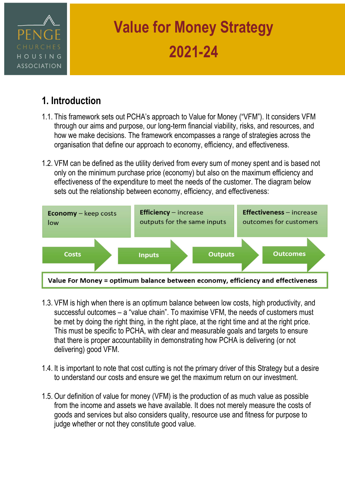

#### 1. Introduction

- 1.1. This framework sets out PCHA's approach to Value for Money ("VFM"). It considers VFM through our aims and purpose, our long-term financial viability, risks, and resources, and how we make decisions. The framework encompasses a range of strategies across the organisation that define our approach to economy, efficiency, and effectiveness.
- 1.2. VFM can be defined as the utility derived from every sum of money spent and is based not only on the minimum purchase price (economy) but also on the maximum efficiency and effectiveness of the expenditure to meet the needs of the customer. The diagram below sets out the relationship between economy, efficiency, and effectiveness:



- 1.3. VFM is high when there is an optimum balance between low costs, high productivity, and successful outcomes – a "value chain". To maximise VFM, the needs of customers must be met by doing the right thing, in the right place, at the right time and at the right price. This must be specific to PCHA, with clear and measurable goals and targets to ensure that there is proper accountability in demonstrating how PCHA is delivering (or not delivering) good VFM.
- 1.4. It is important to note that cost cutting is not the primary driver of this Strategy but a desire to understand our costs and ensure we get the maximum return on our investment.
- 1.5. Our definition of value for money (VFM) is the production of as much value as possible from the income and assets we have available. It does not merely measure the costs of goods and services but also considers quality, resource use and fitness for purpose to judge whether or not they constitute good value.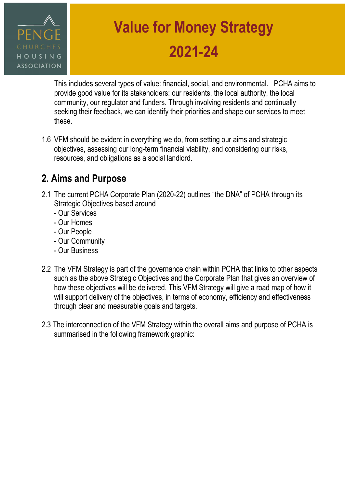

This includes several types of value: financial, social, and environmental. PCHA aims to provide good value for its stakeholders: our residents, the local authority, the local community, our regulator and funders. Through involving residents and continually seeking their feedback, we can identify their priorities and shape our services to meet these.

1.6 VFM should be evident in everything we do, from setting our aims and strategic objectives, assessing our long-term financial viability, and considering our risks, resources, and obligations as a social landlord.

#### 2. Aims and Purpose

- 2.1 The current PCHA Corporate Plan (2020-22) outlines "the DNA" of PCHA through its Strategic Objectives based around
	- Our Services
	- Our Homes
	- Our People
	- Our Community
	- Our Business
- 2.2 The VFM Strategy is part of the governance chain within PCHA that links to other aspects such as the above Strategic Objectives and the Corporate Plan that gives an overview of how these objectives will be delivered. This VFM Strategy will give a road map of how it will support delivery of the objectives, in terms of economy, efficiency and effectiveness through clear and measurable goals and targets.
- 2.3 The interconnection of the VFM Strategy within the overall aims and purpose of PCHA is summarised in the following framework graphic: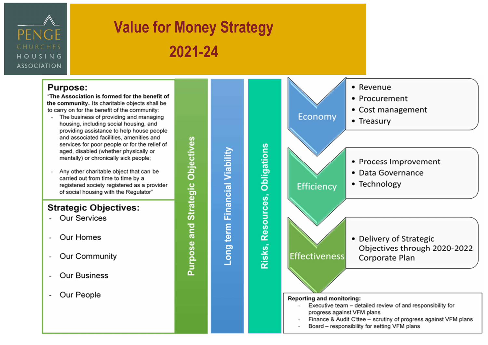### PENGE HOUSING **ASSOCIATION**

## Value for Money Strategy 2021-24

Strategic Objectives

and

Purpose

#### **Purpose:**

"The Association is formed for the benefit of the community. Its charitable objects shall be to carry on for the benefit of the community:

- The business of providing and managing housing, including social housing, and providing assistance to help house people and associated facilities, amenities and services for poor people or for the relief of aged, disabled (whether physically or mentally) or chronically sick people;
- Any other charitable object that can be carried out from time to time by a registered society registered as a provider of social housing with the Regulator"

#### **Strategic Objectives:**

- **Our Services**
- Our Homes  $\overline{a}$
- Our Community  $\overline{a}$
- **Our Business** à,
- Our People  $\overline{a}$

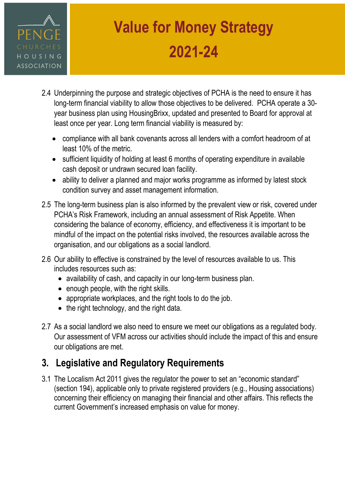

- 2.4 Underpinning the purpose and strategic objectives of PCHA is the need to ensure it has long-term financial viability to allow those objectives to be delivered. PCHA operate a 30 year business plan using HousingBrixx, updated and presented to Board for approval at least once per year. Long term financial viability is measured by:
	- compliance with all bank covenants across all lenders with a comfort headroom of at least 10% of the metric.
	- sufficient liquidity of holding at least 6 months of operating expenditure in available cash deposit or undrawn secured loan facility.
	- ability to deliver a planned and major works programme as informed by latest stock condition survey and asset management information.
- 2.5 The long-term business plan is also informed by the prevalent view or risk, covered under PCHA's Risk Framework, including an annual assessment of Risk Appetite. When considering the balance of economy, efficiency, and effectiveness it is important to be mindful of the impact on the potential risks involved, the resources available across the organisation, and our obligations as a social landlord.
- 2.6 Our ability to effective is constrained by the level of resources available to us. This includes resources such as:
	- availability of cash, and capacity in our long-term business plan.
	- enough people, with the right skills.
	- appropriate workplaces, and the right tools to do the job.
	- $\bullet$  the right technology, and the right data.
- 2.7 As a social landlord we also need to ensure we meet our obligations as a regulated body. Our assessment of VFM across our activities should include the impact of this and ensure our obligations are met.

#### 3. Legislative and Regulatory Requirements

3.1 The Localism Act 2011 gives the regulator the power to set an "economic standard" (section 194), applicable only to private registered providers (e.g., Housing associations) concerning their efficiency on managing their financial and other affairs. This reflects the current Government's increased emphasis on value for money.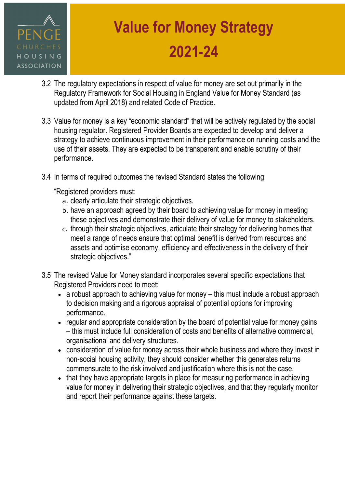

- 3.2 The regulatory expectations in respect of value for money are set out primarily in the Regulatory Framework for Social Housing in England Value for Money Standard (as updated from April 2018) and related Code of Practice.
- 3.3 Value for money is a key "economic standard" that will be actively regulated by the social housing regulator. Registered Provider Boards are expected to develop and deliver a strategy to achieve continuous improvement in their performance on running costs and the use of their assets. They are expected to be transparent and enable scrutiny of their performance.
- 3.4 In terms of required outcomes the revised Standard states the following:

"Registered providers must:

- a. clearly articulate their strategic objectives.
- b. have an approach agreed by their board to achieving value for money in meeting these objectives and demonstrate their delivery of value for money to stakeholders.
- c. through their strategic objectives, articulate their strategy for delivering homes that meet a range of needs ensure that optimal benefit is derived from resources and assets and optimise economy, efficiency and effectiveness in the delivery of their strategic objectives."
- 3.5 The revised Value for Money standard incorporates several specific expectations that Registered Providers need to meet:
	- a robust approach to achieving value for money this must include a robust approach to decision making and a rigorous appraisal of potential options for improving performance.
	- regular and appropriate consideration by the board of potential value for money gains – this must include full consideration of costs and benefits of alternative commercial, organisational and delivery structures.
	- consideration of value for money across their whole business and where they invest in non-social housing activity, they should consider whether this generates returns commensurate to the risk involved and justification where this is not the case.
	- that they have appropriate targets in place for measuring performance in achieving value for money in delivering their strategic objectives, and that they regularly monitor and report their performance against these targets.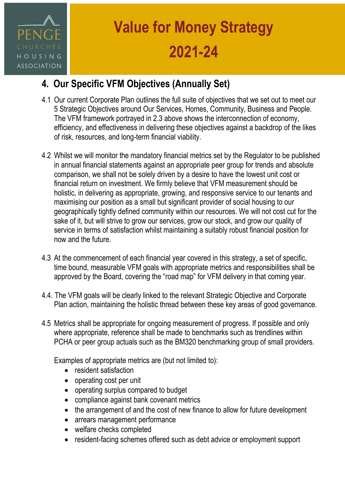

#### 4. Our Specific VFM Objectives (Annually Set)

- 4.1 Our current Corporate Plan outlines the full suite of objectives that we set out to meet our 5 Strategic Objectives around Our Services, Homes, Community, Business and People. The VFM framework portrayed in 2.3 above shows the interconnection of economy, efficiency, and effectiveness in delivering these objectives against a backdrop of the likes of risk, resources, and long-term financial viability.
- 4.2 Whilst we will monitor the mandatory financial metrics set by the Regulator to be published in annual financial statements against an appropriate peer group for trends and absolute comparison, we shall not be solely driven by a desire to have the lowest unit cost or financial return on investment. We firmly believe that VFM measurement should be holistic, in delivering as appropriate, growing, and responsive service to our tenants and maximising our position as a small but significant provider of social housing to our geographically tightly defined community within our resources. We will not cost cut for the sake of it, but will strive to grow our services, grow our stock, and grow our quality of service in terms of satisfaction whilst maintaining a suitably robust financial position for now and the future.
- 4.3 At the commencement of each financial year covered in this strategy, a set of specific, time bound, measurable VFM goals with appropriate metrics and responsibilities shall be approved by the Board, covering the "road map" for VFM delivery in that coming year.
- 4.4. The VFM goals will be clearly linked to the relevant Strategic Objective and Corporate Plan action, maintaining the holistic thread between these key areas of good governance.
- 4.5 Metrics shall be appropriate for ongoing measurement of progress. If possible and only where appropriate, reference shall be made to benchmarks such as trendlines within PCHA or peer group actuals such as the BM320 benchmarking group of small providers.

Examples of appropriate metrics are (but not limited to):

- resident satisfaction
- operating cost per unit
- operating surplus compared to budget
- compliance against bank covenant metrics
- the arrangement of and the cost of new finance to allow for future development
- arrears management performance
- welfare checks completed
- resident-facing schemes offered such as debt advice or employment support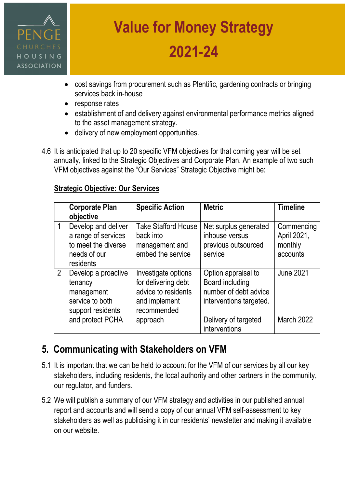# HOUSING **ASSOCIATION**

## Value for Money Strategy

### 2021-24

- cost savings from procurement such as Plentific, gardening contracts or bringing services back in-house
- response rates
- establishment of and delivery against environmental performance metrics aligned to the asset management strategy.
- delivery of new employment opportunities.
- 4.6 It is anticipated that up to 20 specific VFM objectives for that coming year will be set annually, linked to the Strategic Objectives and Corporate Plan. An example of two such VFM objectives against the "Our Services" Strategic Objective might be:

#### Strategic Objective: Our Services

|                | <b>Corporate Plan</b><br>objective                                                             | <b>Specific Action</b>                                                                            | <b>Metric</b>                                                                              | <b>Timeline</b>                                  |
|----------------|------------------------------------------------------------------------------------------------|---------------------------------------------------------------------------------------------------|--------------------------------------------------------------------------------------------|--------------------------------------------------|
|                | Develop and deliver<br>a range of services<br>to meet the diverse<br>needs of our<br>residents | <b>Take Stafford House</b><br>back into<br>management and<br>embed the service                    | Net surplus generated<br>inhouse versus<br>previous outsourced<br>service                  | Commencing<br>April 2021,<br>monthly<br>accounts |
| $\overline{2}$ | Develop a proactive<br>tenancy<br>management<br>service to both<br>support residents           | Investigate options<br>for delivering debt<br>advice to residents<br>and implement<br>recommended | Option appraisal to<br>Board including<br>number of debt advice<br>interventions targeted. | <b>June 2021</b>                                 |
|                | and protect PCHA                                                                               | approach                                                                                          | Delivery of targeted<br>interventions                                                      | March 2022                                       |

#### 5. Communicating with Stakeholders on VFM

- 5.1 It is important that we can be held to account for the VFM of our services by all our key stakeholders, including residents, the local authority and other partners in the community, our regulator, and funders.
- 5.2 We will publish a summary of our VFM strategy and activities in our published annual report and accounts and will send a copy of our annual VFM self-assessment to key stakeholders as well as publicising it in our residents' newsletter and making it available on our website.